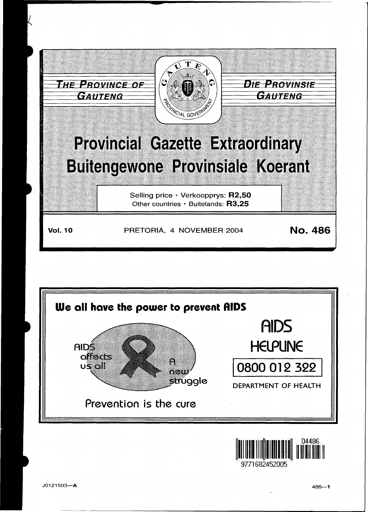



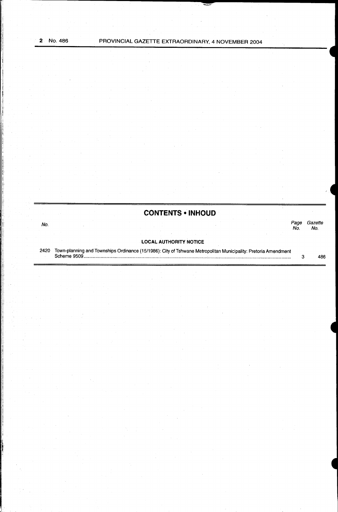No.

j I I I '·

# **CONTENTS • INHOUD**

Gazette<br>No. Page<br>No.

# **LOCAL AUTHORITY NOTICE**

2420 Town-planning and Townships Ordinance (15/1986): City of Tshwane Metropolitan Municipality: Pretoria Amendment Scheme 9509 ................................................................................................................................................................ .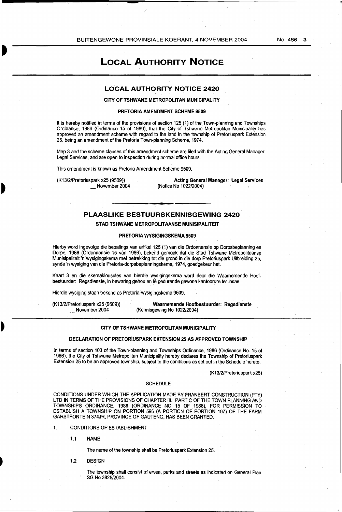/

No. 486 3

# **LOCAL AUTHORITY NOTICE**

# **LOCAL AUTHORITY NOTICE 2420**

#### CITY OF TSHWANE METROPOLITAN MUNICIPALITY

#### PRETORIA AMENDMENT SCHEME 9509

It is hereby notified in terms of the provisions of section 125 (1) of the Town-planning and Townships Ordinance, 1986 (Ordinance 15 of 1986), that the City of Tshwane Metropolitan Municipality has approved an amendment scheme with regard to the land in the township of Pretoriuspark Extension 25, being an amendment of the Pretoria Town-planning Scheme, 1974.

Map 3 and the scheme clauses of this amendment scheme are filed with the Acting General Manager: Legal Services, and are open to inspection during normal office hours.

This amendment is known as Pretoria Amendment Scheme 9509.

(K13/2/Pretoriuspark x25 (9509)) November 2004

Acting General Manager: Legal Services (Notice No 1022/2004)

# **PLAASLIKE BESTUURSKENNISGEWING 2420**

STAD TSHWANE METROPOLITAANSE MUNISIPALITEIT

#### PRETORIA WYSIGINGSKEMA 9509

Hierby word ingevolge die bepalings van artikel 125 (1) van die Ordonnansie op Dorpsbeplanning en Dorpe, 1986 (Ordonnansie 15 van 1986), bekend gemaak dat die Stad Tshwane Metropolitaanse Munisipaliteit 'n wysigingskema met betrekking tot die grand in die dorp Pretoriuspark Uitbreiding 25, synde 'n wysiging van die Pretoria-dorpsbeplanningskema, 1974, goedgekeur het.

Kaart 3 en die skemaklousules van hierdie wysigingskema word deur die Waamemende Hoofbestuurder: Regsdienste, in bewaring gehou en le gedurende gewone kantoorure ter insae.

Hierdie wysiging staan bekend as Pretoria-wysigingskema 9509.

(K13/2/Pretoriuspark x25 (9509)) November 2004

Waarnemende Hoofbestuurder: Regsdienste (Kennisgewing No 1022/2004)

#### CITY OF TSHWANE METROPOLITAN MUNICIPALITY

#### DECLARATION OF PRETORIUSPARK EXTENSION 25 AS APPROVED TOWNSHIP

In terms of section 103 of the Town-planning and Townships Ordinance, 1986 (Ordinance No. 15 of 1986), the City of Tshwane Metropolitan Municipality hereby declares the Township of Pretoriuspark Extension 25 to be an approved township, subject to the conditions as set out in the Schedule hereto.

(K13/2/Pretoriuspark x25)

#### **SCHEDULE**

CONDITIONS UNDER WHICH THE APPLICATION MADE BY FRANBERT CONSTRUCTION (PTY) L TO IN TERMS OF THE PROVISIONS OF CHAPTER Ill: PART C OF THE TOWN-PLANNING AND TOWNSHIPS ORDINANCE, 1986 (ORDINANCE NO 15 OF 1986), FOR PERMISSION TO ESTABLISH A TOWNSHIP ON PORTION 596 (A PORTION OF PORTION 197) OF THE FARM GARSTFONTEIN 374JR, PROVINCE OF GAUTENG, HAS BEEN GRANTED.

1. CONDITIONS OF ESTABLISHMENT

1.1 NAME

The name of the township shall be Pretoriuspark Extension 25.

1.2 DESIGN

The township shall consist of erven, parks and streets as indicated on General Plan SG No 3825/2004.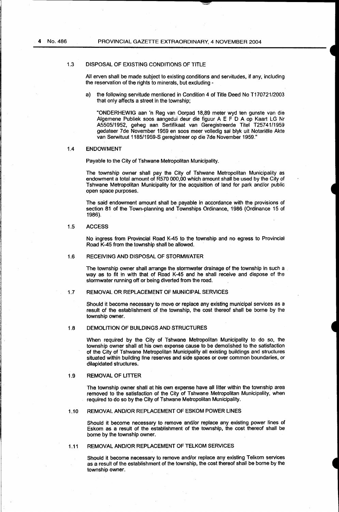#### 1.3 DISPOSAL OF EXISTING CONDITIONS OF TITLE

All erven shall be made subject to existing conditions and servitudes, if any, including the reservation of the rights to minerals, but excluding -

a) the following servitude mentioned in Condition 4 of Title Deed No T170721/2003 that only affects a street in the township;

"ONDERHEWIG aan 'n Reg van Oorpad 18,89 meter wyd ten gunste van die Algemene Publiek soos aangedui deur die figuur A E F D A op Kaart LG Nr A5505/1952, geheg aan Sertifikaat van Geregistreerde Titel T257 41/1959 gedateer ?de November 1959 en soos meer volledig sal blyk uit Notariele Akte van Serwituut 1185/1959-S geregistreer op die ?de November 1959."

#### 1.4 ENDOWMENT

Payable to the City of Tshwane Metropolitan Municipality.

The township owner shall pay the City of Tshwane Metropolitan Municipality as endowment a total amount of R570 000,00 which amount shall be used by the City of Tshwane Metropolitan Municipality for the acquisition of land for park and/or public open space purposes.

The said endowment amount shall be payable in accordance with the provisions of section 81 of the Town-planning and Townships Ordinance, 1986 (Ordinance 15 of 1986).

#### 1.5 ACCESS

No ingress from Provincial Road K-45 to the township and no egress to Provincial Road K-45 from the township shall be allowed.

#### 1.6 RECEIVING AND DISPOSAL OF STORMWATER

The township owner shall arrange the stormwater drainage of the township in such a way as to fit in with that of Road K-45 and he shall receive and dispose of the storrnwater running off or being diverted from the road.

#### 1.7 REMOVAL OR REPLACEMENT OF MUNICIPAL SERVICES

Should it become necessary to move or replace any existing municipal services as a result of the establishment of the township, the cost thereof shall be borne by the township owner.

# 1.8 DEMOLITION OF BUILDINGS AND STRUCTURES

When required by the City of Tshwane Metropolitan Municipality to do so, the township owner shall at his own expense cause to be demolished to the satisfaction of the City of Tshwane Metropolitan Municipality all existing buildings and structures situated within building line reserves and side spaces or over common boundaries. or dilapidated structures.

#### 1.9 REMOVAL OF LITTER

The township owner shall at his own expense have all litter within the township area removed to the satisfaction of the City of Tshwane Metropolitan Municipality, when required to do so by the City of Tshwane Metropolitan Municipality.

#### 1.10 REMOVAL AND/OR REPLACEMENT OF ESKOM POWER LINES

Should it become necessary to remove and/or replace any existing power lines of Eskom as a result of the establishment of the township, the cost thereof shall be borne by the township owner.

## 1.11 REMOVAL AND/OR REPLACEMENT OF TELKOM SERVICES

Should it become necessary to remove and/or replace any existing Telkom services as a result of the establishment of the township, the cost thereof shall be borne by the township owner.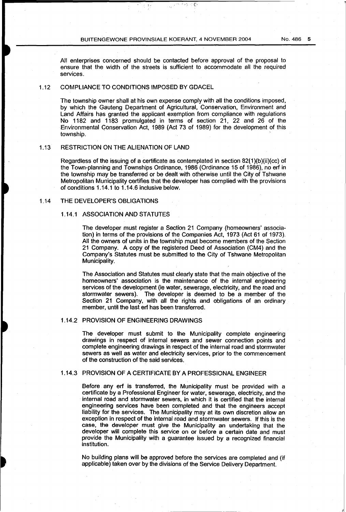All enterprises concerned should be contacted before approval of the proposal to ensure that the width of the streets is sufficient to accommodate all the required services.

# 1.12 COMPLIANCE TO CONDITIONS IMPOSED BY GDACEL

The township owner shall at his own expense comply with all the conditions imposed, by which the Gauteng Department of Agricultural, Conservation, Environment and Land Affairs has granted the applicant exemption from compliance with regulations No 1182 and 1183 promulgated in terms of section 21, 22 and 26 of the Environmental Conservation Act, 1989 (Act 73 of 1989) for the development of this township. The contract of the contract of the contract of the contract of the contract of the contract of the contract of the contract of the contract of the contract of the contract of the contract of the contract of the

# 1.13 RESTRICTION ON THE ALIENATION OF LAND

Regardless of the issuing of a certificate as contemplated in section 82(1)(b)(ii)(cc) of the Town-planning and Townships Ordinance, 1986 (Ordinance 15 of 1986), no erf in the township may be transferred or be dealt with otherwise until the City of Tshwane Metropolitan Municipality certifies that the developer has complied with the provisions of conditions 1.14.1 to 1.14.6 inclusive below.

# 1.14 THE DEVELOPER'S OBLIGATIONS

# 1.14.1 ASSOCIATION AND STATUTES

The developer must register a Section 21 Company (homeowners' association) in terms of the provisions of the Companies Act, 1973 (Act 61 of 1973). All the owners of units in the township must become members of the Section 21 Company. A copy of the registered Deed of Association (CM4) and the Company's Statutes must be submitted to the City of Tshwane Metropolitan Municipality.

The Association and Statutes must clearly state that the main objective of the homeowners' association is the maintenance of the internal engineering services of the development (ie water, sewerage, electricity, and the road and stormwater sewers). The developer is deemed to be a member of the Section 21 Company, with all the rights and obligations of an ordinary member, until the last erf has been transferred.

# 1.14.2 PROVISION OF ENGINEERING DRAWINGS

The developer must submit to the Municipality complete engineering drawings in respect of internal sewers and sewer connection points and complete engineering drawings in respect of the internal road and stormwater sewers as well as water and electricity services, prior to the commencement of the construction of the said services.

# 1.14.3 PROVISION OF A CERTIFICATE BY A PROFESSIONAL ENGINEER

Before. any erf is transferred, the Municipality must be provided with a certificate by a Professional Engineer for water, sewerage, electricity, and the internal road and stormwater sewers, in which it is certified that the internal engineering services have been completed and that the engineers accept liability for the services. The Municipality may at its own discretion allow an exception in respect of the internal road and stormwater sewers. If this is the case, the developer must give the Municipality an undertaking that the developer will complete this service on or before a certain date and must provide the Municipality with a guarantee issued by a recognized financial institution.

No building plans will be approved before the services are completed and (if applicable) taken over by the divisions of the Service Delivery Department.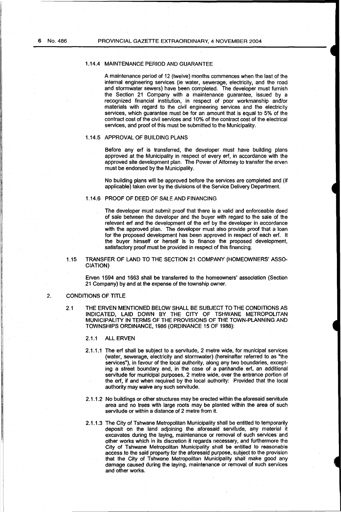#### 1.14.4 MAINTENANCE PERIOD AND GUARANTEE

A maintenance period of 12 (twelve) months commences when the last of the internal engineering services (ie water, sewerage, electricity, and the road and stormwater sewers) have been completed. The developer must furnish the Section 21 Company with a maintenance guarantee, issued by a recognized financial institution, in respect of poor workmanship and/or materials with regard to the civil engineering services and the electricity services, which guarantee must be for an amount that is equal to 5% of the contract cost of the civil services and 10% of the contract cost of the electrical services, and proof of this must be submitted to the Municipality.

# 1.14.5 APPROVAL OF BUILDING PLANS

Before any erf is transferred, the developer must have building plans approved at the Municipality in respect of every erf, in accordance with the approved site development plan. The Power of Attorney to transfer the erven must be endorsed by the Municipality.

No building plans will be approved before the services are completed and (if applicable) taken over by the divisions of the Service Delivery Department.

# 1.14.6 PROOF OF DEED OF SALE AND FINANCING

The developer must submit proof that there is a valid and enforceable deed of sale between the developer and the buyer with regard to the sale of the relevant erf and the development of the erf by the developer in accordance with the approved plan. The developer must also provide proof that a loan for the proposed development has been approved in respect of each erf. It the buyer himself or herself is to finance the proposed development, satisfactory proof must be provided in respect of this financing.

1.15 TRANSFER OF LAND TO THE SECTION 21 COMPANY (HOMEOWNERS' ASSO-CIATION)

Erven 1594 and 1663 shall be transferred to the homeowners' association (Section 21 Company) by and at the expense of the township owner.

### 2. CONDITIONS OF TITLE

- 2.1 THE ERVEN MENTIONED BELOW SHALL BE SUBJECT TO THE CONDITIONS AS INDICATED, LAID DOWN BY THE CITY OF TSHWANE METROPOLITAN MUNICIPALITY IN TERMS OF THE PROVISIONS OF THE TOWN-PLANNING AND TOWNSHIPS ORDINANCE, 1986 (ORDINANCE 15 OF 1986):
	- 2.1.1 ALL ERVEN
	- 2.1.1.1 The erf shall be subject to a servitude, 2 metre wide, for municipal services (water, sewerage, electricity and stormwater) (hereinafter referred to as "the services"), in favour of the local authority, along any two boundaries, excepting a street boundary and, in the case of a panhandle erf, an additional servitude for municipal purposes, 2 metre wide, over the entrance portion of the erf, if and when required by the local authority: Provided that the local authority may waive any such servitude.
	- 2.1.1.2 No buildings or other structures may be erected within the aforesaid servitude area and no trees with large roots may be planted within the area of such servitude or within a distance of 2 metre from it.
	- 2.1.1.3 The City of Tshwane Metropolitan Municipality shall be entitled to temporarily deposit on the land adjoining the aforesaid servitude, any material it excavates during the laying, maintenance or removal of such services and other works which in its discretion it regards necessary, and furthermore the City of Tshwane Metropolitan Municipality shall be entitled to reasonable access to the said property for the aforesaid purpose, subject to the provision that the City of Tshwane Metropolitan Municipality shall make good any damage caused during the laying, maintenance or removal of such services and other works.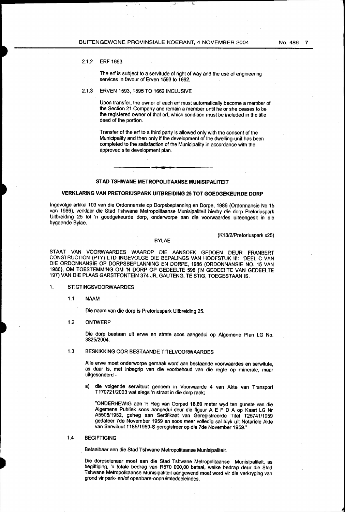**一** 

标

#### 2.1.2 ERF 1663

The erf is subject to a servitude of right of way and the use of engineering services in favour of Erven 1593 to 1662.

#### 2.1.3 ERVEN 1593, 1595 TO 1662 INCLUSIVE

Upon transfer, the owner of each erf must automatically become a member of the Section 21 Company and remain a member until he or she ceases to be the registered owner of that erf, which condition must be included in the title deed of the portion.

Transfer of the erf to a third party is allowed only with the consent of the Municipality and then only if the development of the dwelling-unit has been completed to the satisfaction of the Municipality in accordance with the approved site development plan.

### **STAD TSHWANE METROPOLITAANSE MUNISIPALITEIT**

# **VERKLARING VAN PRETORIUSPARK UITBREIDING 25 TOT GOEDGEKEURDE DORP**

Ingevolge artikel 103 van die Ordonnansie op Dorpsbeplanning en Dorpe, 1986 (Ordonnansie No 15 van 1986), verklaar die Stad Tshwane Metropolitaanse Munisipaliteit hierby die dorp Pretoriuspark Uitbreiding 25 tot 'n goedgekeurde dorp, onderworpe aan die voorwaardes uiteengesit in die bygaande Bylae.

#### BYLAE

(K13/2/Pretoriuspark x25)

STAAT VAN VOORWAARDES WAAROP DIE AANSOEK GEDOEN DEUR FRANBERT CONSTRUCTION (PTY) LTD INGEVOLGE DIE BEPALINGS VAN HOOFSTUK Ill: DEEL C VAN DIE ORDONNANSIE OP DORPSBEPLANNING EN DORPE, 1986 (ORDONNANSIE NO. 15 VAN 1986), OM TOESTEMMING OM 'N DORP OP GEDEELTE 596 ('N GEDEELTE VAN GEDEELTE 197) VAN DIE PLAAS GARSTFONTEIN 374 JR, GAUTENG, TE STIG, TOEGESTAAN IS.

#### 1. STIGTINGSVOORWAARDES

#### 1.1 NAAM

Die naam van die dorp is Pretoriuspark Uitbreidfng 25.

#### 1.2 ONTWERP

Die dorp bestaan uit erwe en strata soos aangedui op Algemene Plan LG No. 3825/2004.

# 1.3 BESKIKKING OOR BESTAANDE TITELVOORWAARDES

Aile erwe moet onderworpe gemaak word aan bestaande voorwaardes en serwitute, as daar is, met inbegrip van die voorbehoud van die regie op minerale, maar uitgesonderd -

a) die volgende serwituut genoem in Voorwaarde 4 van Akte van Transport T170721/2003 wat slegs 'n straat in die dorp raak;

"ONDERHEWIG aan 'n Reg van Oorpad 18,89 meter wyd ten gunste van die Algemene Publiek soos aangedui deur die figuur A E F D A op Kaart LG Nr A5505/1952, geheg aan Sertifikaat van Geregistreerde Titel T25741/1959 gedateer 7de November 1959 en soos meer volledig sal blyk uit Notariele Akte van Serwituut 1185/1959-S geregistreer op die 7 de November 1959."

# 1.4 BEGIFTIGING

Betaalbaar aan die Stad Tshwane Metropolitaanse Munisipaliteit.

Die dorpseienaar moet aan die Stad Tshwane Metropolitaanse Munisipaliteit, as begiftiging, 'n totale bedrag van R570 000,00 betaal, welke bedrag deur die Stad Tshwane Metropolitaanse Munisipaliteit aangewend moet word vir die verkryging van grond vir park- en/of openbare-oopruimtedoeleindes.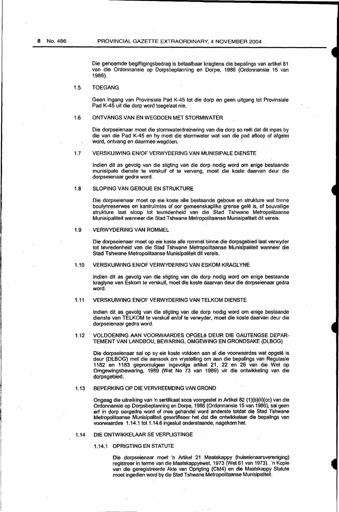Die genoemde begiftigingsbedrag is betaalbaar kragtens die bepalings van artikel 81 van die Ordonnansie op Dorpsbeplanning en Dorpe, 1986 (Ordonnansie 15 van 1986).

#### 1.5 TOEGANG

Geen ingang van Provinsiale Pad K-45 tot die dorp en geen uitgang tot Provinsiale Pad K-45 uit die dorp word toegelaat nie.

# 1.6 ONTVANGS VAN EN WEGDOEN MET STORMWATER

Die dorpseienaar moet die stormwaterdreinering van die dorp so reël dat dit inpas by die van die Pad K-45 en hy moet die stormwater wat van die pad afloop of afgelei word, ontvang en daarmee wegdoen.

#### 1.7 VERSKUIWING EN/OF VERWYDERING VAN MUNISIPALE DIENSTE

lndien dit as gevolg van die stigting van die dorp nodig word om enige bestaande munisipale dienste te verskuif of te vervang, moet die koste daarvan deur die dorpseienaar gedra word.

#### 1.8 SLOPING VAN GEBOUE EN STRUKTURE

Die dorpseienaar moet op eie koste aile bestaande geboue en strukture wat binne boulynreserwes en kantruimtes of oor gemeenskaplike grense gelê is, of bouvallige strukture laat sloop tot tevredenheid van die Stad Tshwane Metropolitaanse Munisipaliteit wanneer die Stad Tshwane Metropolitaanse Munisipaliteit dit vereis.

#### 1.9 VERWYDERING VAN ROMMEL

Die dorpseienaar moet op eie koste aile rommel binne die dorpsgebied laat verwyder tot tevredenheid van die Stad Tshwane Metropolitaanse Munisipaliteit wanneer die Stad Tshwane Metropolitaanse Munisipaliteit dit vereis.

#### 1.10 VERSKUIWING EN/OF VERWYDERING VAN ESKOM KRAGLYNE

lndien dit as gevolg van die stigting van die dorp nodig word om enige bestaande kraglyne van Eskom te verskuif, moet die koste daarvan deur die dorpseienaar gedra word.

#### 1.11 VERSKUIWING EN/OF VERWYDERING VAN TELKOM DIENSTE

lndien dit as gevolg van die stigting van die dorp nodig word om enige bestaande dienste van TELKOM te verskuif en/of te verwyder, nioet die koste daarvan deur die dorpseienaar gedra word.

#### 1.12 VOLDOENING AAN VOORWAARDES OPGELe DEUR DIE GAUTENGSE DEPAR-TEMENT VAN LANDBOU, BEWARING, OMGEWING EN GRONDSAKE (DLBOG)

Die dorpseienaar sal op sy eie koste voldoen aan al die voorwaardes wat opgele is deur (DLBOG) met die aansoek om vrystelling om aan die bepalings van Regulasie 1182 en 1183 gepromulgeer ingevolge artikel 21, 22 en 26 van die Wet op Omgewingsbewaring, 1989 (Wet No 73 van 1989) vir die ontwikkeling van die dorpsgebied.

#### 1.13 BEPERKING OP DIE VERVREEMDING VAN GROND

Ongeag die uitreiking van 'n sertifikaat soos voorgestel in Artikel 82 (1)(b)(ii)(cc) van die Ordonnansie op Dorpsbeplanning en Dorpe, 1986 (Ordonnansie 15 van 1986), sal geen erf in dorp oorgedra word of mee gehandel word anderste totdat die Stad Tshwane Metropolitaanse Munisipaliteit gesertifiseer het dat die ontwikkelaar die bepalings van voorwaardes 1.14.1 tot 1.14.6 ingesluit onderstaande, nagekom het.

#### 1.14 DIE ONTWIKKELAAR SE VERPLIGTINGE

#### 1.14.1 OPRIGTING EN STATUTE

Die dorpseienaar moet 'n Artikel 21 Maatskappy (huiseienaarsvereniging) registreer in terrne van die Maatskappyewet, 1973 (Wet 61 van 1973). 'n Kopie van die geregistreerde Akte van Oprigting (CM4) en die Maatskappy Statute moet ingedien word by die Stad Tshwane Metropolitaanse Munisipaliteit.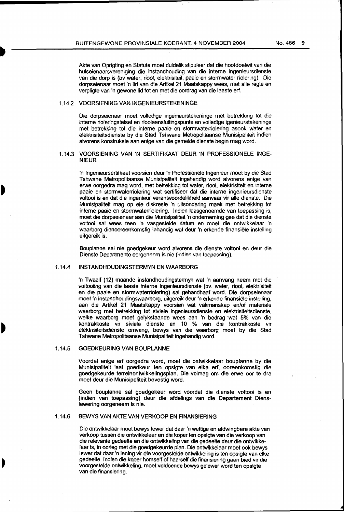Akte van Oprigting en Statute moet duidelik stipuleer dat die hoofdoelwit van die huiseienaarsvereniging die instandhouding van die interne ingenieursdienste van die dorp is (bv water, riool, elektrisiteit, paaie en stormwater riolering). Die dorpseienaar moet 'n lid van die Artikel 21 Maatskappy wees, met aile regte en verpligte van 'n gewone lid tot en met die oordrag van die laaste erf.

# 1.14.2 VOORSIENING VAN INGENIEURSTEKENINGE

Die dorpseienaar moet volledige ingenieurstekeninge met betrekking tot die interne rioleringstelsel en rioolaansluitingspunte en volledige igenieurstekeninge met betrekking tot die interne paaie en stormwaterriolering asook water en elektrisiteitsdienste by die Stad Tshwane Metropolitaanse Munisipaliteit indien alvorens konstruksie aan enige van die gemelde dienste begin mag word.

## 1.14.3 VOORSIENING VAN 'N SERTIFIKAAT DEUR 'N PROFESSIONELE INGE-NIEUR

'n lngenieursertifkaat voorsien deur 'n Professionele lngenieur moet by die Stad Tshwane Metropolitaanse Munisipaliteit ingehandig word alvorens enige van erwe oorgedra mag word, met betrekking tot water, riool, elektrisiteit en interne paaie en stormwaterriolering wat sertifiseer dat die interne ingenieursdienste voltooi is en dat die ingenieur verantwoordelikheid aanvaar vir aile dienste. Die Munisipaliteit mag op eie diskresie 'n uitsondering maak met betrekking tot interne paaie en stormwaterriolering. lndien laasgenoemde van toepassing is, moe! die dorpseienaar aan die Munisipaliteit 'n onderneming gee dat die dienste voltooi sal wees teen 'n vasgestelde datum en moet die ontwikkelaar 'n waarborg dienooreenkomstig inhandig wat deur 'n erkende finansiële instelling uitgereik is.

Bouplanne sal nie goedgekeur word alvorens die dienste voltooi en deur die Dienste Departmente oorgeneem is nie (indien van toepassing).

# 1.14.4 INSTANDHOUDINGSTERMYN EN WAARBORG

'n Twaalf (12) maande instandhoudingstermyn wat 'n aanvang neem met die voltooiing van die laaste interne ingenieursdienste (bv. water, riool, elektrisiteit en die paaie en storrnwaterriolering) sal gehandhaaf word. Die dorpseienaar moet 'n instandhoudingswaarborg, uitgereik deur 'n erkende finansiële instelling, aan die Artikel 21 Maatskappy voorsien wat vakmanskap en/of materiale waarborg met betrekking tot siviele ingenieursdienste en elektrisiteitsdienste, welke waarborg moet gelykstaande wees aan 'n bedrag wat 5% van die kontrakkoste vir siviele dienste en 10 % van die kontrakkoste vir elektrisiteitsdienste omvang, bewys van die waarborg moet by die Stad Tshwane Metropolitaanse Munisipaliteit ingehandig word.

# 1.14.5 GOEDKEURING VAN BOUPLANNE

Voordat enige erf oorgedra word, moet die ontwikkelaar bouplanne by die Munisipaliteit laat goedkeur ten opsigte van elke erf, ooreenkomstig die goedgekeurde terreinontwikkelingsplan. Die volmag om die erwe oor te dra moet deur die Munisipaliteit bevestig word.

Geen bouplanne sal goedgekeur word voordat die dienste voltooi is en (indien van toepassing) deur die afdelings van die Departement Dienslewering oorgeneem is nie.

## 1.14.6 BEWYS VAN AKTE VAN VERKOOP EN FINANSIERING

Die ontwikkelaar moet bewys lewer dat daar 'n wettige en afdwingbare akte van verkoop tussen die ontwikkelaar en die koper ten opsigte van die verkoop van die relevante gedeelte en die ontwikkeling van die gedeelte deur die ontwikkelaar is, in oorleg met die goedgekeurde plan. Die ontwikkelaar moet ook bewys lewer dat daar 'n lening vir die voorgestelde ontwikkeling is ten opsigte van elke gedeelte. lndien die koper homself of haarself die finansiering gaan bied vir die voorgestelde ontwikkeling, moet voldoende bewys gelewer word ten opsigte van die finansiering.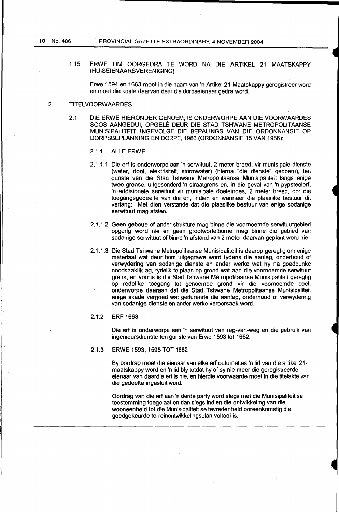1.15 ERWE OM OORGEDRA TE WORD NA DIE ARTIKEL 21 MAATSKAPPY (HUISEIENAARSVERENIGING)

Erwe 1594 en 1663 moet in die naam van 'n Artikel 21 Maatskappy geregistreer word en moet die koste daarvan deur die dorpseienaar gedra word.

# 2. TITELVOORWAARDES

2.1 DIE ERWE HIERONDER GENOEM, IS ONDERWORPE AAN DIE VOORWAARDES SOOS AANGEDUI, OPGELE DEUR DIE STAD TSHWANE METROPOLITAANSE MUNISIPALITEIT INGEVOLGE DIE BEPALINGS VAN DIE ORDONNANSIE OP DORPSBEPLANNING EN DORPE, 1986 (ORDONNANSIE 15 VAN 1986):

# 2.1.1 ALLE ERWE

- 2.1.1.1 Die erf is onderworpe aan 'n serwituut, 2 meter breed, vir munisipale dienste (water, riool, elektrisiteit, storrnwater) (hierna "die dienste" genoem), ten gunste van die Stad Tshwane Metropolitaanse Munisipaliteit langs enige twee grense, uitgesonderd 'n straatgrens en, in die geval van 'n pypsteelerf, 'n .addisionele serwituut vir munisipale doeleindes, 2 meter breed, oor die toegangsgedeelte van die erf, indien en wanneer die plaaslike bestuur dit verlang: Met dien verstande dat die plaaslike bestuur van enige sodanige serwituut mag afsien.
- 2.1.1 .2 Geen geboue of ander strukture mag binne die voornoemde serwituutgebied opgerig word nie en geen grootwortelbome mag binne die gebied van sodanige serwituut of binne 'n afstand van 2 meter daarvan geplant word nie.
- 2.1.1.3 Die Stad Tshwane Metropolitaanse Munisipaliteit is daarop geregtig om enige materiaal wat deur hom uitgegrawe word tydens die aanleg, onderhoud of verwydering van sodanige dienste en ander werke wat hy na goeddunke noodsaaklik ag, tydelik te plaas op grond wat aan die voornoemde serwituut grens, en voorts is die Stad Tshwane Metropolitaanse Munisipaliteit geregtig op redelike toegang tot genoemde grond vir die voornoemde doel, onderworpe daaraan dat die Stad Tshwane Metropolitaanse Munisipaliteit enige skade vergoed wat gedurende die aanleg, onderhoud of verwydering van sodanige dienste en ander werke veroorsaak word.

#### 2.1.2 ERF 1663

Die erf is onderworpe aan 'n serwituut van reg-van-weg en die gebruik van ingenieursdienste ten gunste van Erwe 1593 tot 1662.

# 2.1.3 ERWE 1593, 1595 TOT 1662

By oordrag moet die eienaar van elke erf outomaties 'n lid van die artikel 21 maatskappy word en 'n lid bly totdat hy of sy nie meer die geregistreerde eienaar van daardie erf is nie, en hierdie voorwaarde moet in die titelakte van die gedeelte ingesluit word.

Oordrag van die erf aan 'n derde party word slegs met die Munisipaliteit se toestemming toegelaat en dan slegs indien die ontwikkeling van die wooneenheid tot die Munisipaliteit se tevredenheid ooreenkomstig die goedgekeurde terreinontwikkelingsplan voltooi is.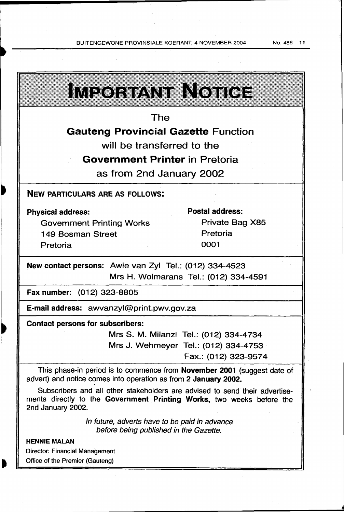BUITENGEWONE PROVINSIALE KOERANT, 4 NOVEMBER 2004

| <u>IMEOFIZANI IN KOTICH</u>                                                                                                                                               |                                        |
|---------------------------------------------------------------------------------------------------------------------------------------------------------------------------|----------------------------------------|
| The                                                                                                                                                                       |                                        |
| <b>Gauteng Provincial Gazette Function</b>                                                                                                                                |                                        |
| will be transferred to the                                                                                                                                                |                                        |
| <b>Government Printer in Pretoria</b>                                                                                                                                     |                                        |
| as from 2nd January 2002                                                                                                                                                  |                                        |
| <b>NEW PARTICULARS ARE AS FOLLOWS:</b>                                                                                                                                    |                                        |
| <b>Physical address:</b>                                                                                                                                                  | <b>Postal address:</b>                 |
| <b>Government Printing Works</b>                                                                                                                                          | Private Bag X85                        |
| <b>149 Bosman Street</b>                                                                                                                                                  | Pretoria                               |
| Pretoria                                                                                                                                                                  | 0001                                   |
| New contact persons: Awie van Zyl Tel.: (012) 334-4523<br>Mrs H. Wolmarans Tel.: (012) 334-4591                                                                           |                                        |
| Fax number: (012) 323-8805                                                                                                                                                |                                        |
| E-mail address: awvanzyl@print.pwv.gov.za                                                                                                                                 |                                        |
| <b>Contact persons for subscribers:</b>                                                                                                                                   |                                        |
|                                                                                                                                                                           | Mrs S. M. Milanzi Tel.: (012) 334-4734 |
|                                                                                                                                                                           | Mrs J. Wehmeyer Tel.: (012) 334-4753   |
|                                                                                                                                                                           | Fax.: (012) 323-9574                   |
| This phase-in period is to commence from November 2001 (suggest date of<br>advert) and notice comes into operation as from 2 January 2002.                                |                                        |
| Subscribers and all other stakeholders are advised to send their advertise-<br>ments directly to the Government Printing Works, two weeks before the<br>2nd January 2002. |                                        |
| In future, adverts have to be paid in advance<br>before being published in the Gazette.                                                                                   |                                        |
| <b>HENNIE MALAN</b>                                                                                                                                                       |                                        |
| <b>Director: Financial Management</b>                                                                                                                                     |                                        |
| Office of the Premier (Gauteng)                                                                                                                                           |                                        |

 $\blacksquare$